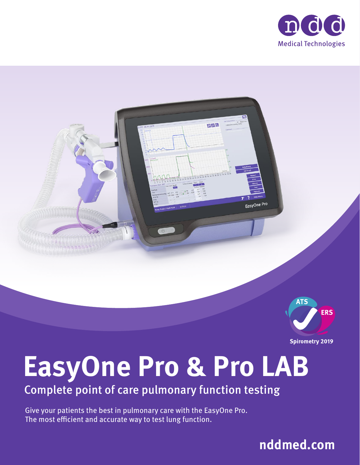



**Spirometry 2019** 

# **EasyOne Pro & Pro LAB**

Complete point of care pulmonary function testing

Give your patients the best in pulmonary care with the EasyOne Pro. The most efficient and accurate way to test lung function.

**nddmed.com**